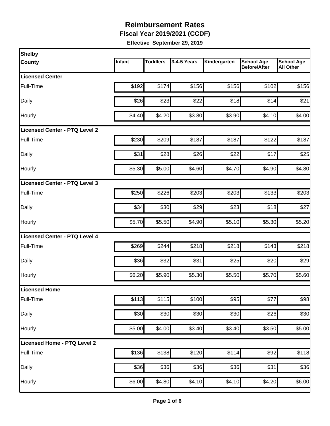**Fiscal Year 2019/2021 (CCDF)**

| Shelby                               |        |                 |             |              |                                          |                                       |
|--------------------------------------|--------|-----------------|-------------|--------------|------------------------------------------|---------------------------------------|
| <b>County</b>                        | Infant | <b>Toddlers</b> | 3-4-5 Years | Kindergarten | <b>School Age</b><br><b>Before/After</b> | <b>School Age</b><br><b>All Other</b> |
| <b>Licensed Center</b>               |        |                 |             |              |                                          |                                       |
| Full-Time                            | \$192  | \$174           | \$156       | \$156        | \$102                                    | \$156                                 |
| Daily                                | \$26   | \$23            | \$22        | \$18         | \$14                                     | \$21                                  |
| Hourly                               | \$4.40 | \$4.20          | \$3.80      | \$3.90       | \$4.10                                   | \$4.00                                |
| <b>Licensed Center - PTQ Level 2</b> |        |                 |             |              |                                          |                                       |
| Full-Time                            | \$230  | \$209           | \$187       | \$187        | \$122                                    | \$187                                 |
| Daily                                | \$31   | \$28            | \$26        | \$22         | \$17                                     | \$25                                  |
| <b>Hourly</b>                        | \$5.30 | \$5.00          | \$4.60      | \$4.70       | \$4.90                                   | \$4.80                                |
| Licensed Center - PTQ Level 3        |        |                 |             |              |                                          |                                       |
| Full-Time                            | \$250  | \$226           | \$203       | \$203        | \$133                                    | \$203                                 |
| Daily                                | \$34   | \$30            | \$29        | \$23         | \$18                                     | \$27                                  |
| Hourly                               | \$5.70 | \$5.50          | \$4.90      | \$5.10       | \$5.30                                   | \$5.20                                |
| <b>Licensed Center - PTQ Level 4</b> |        |                 |             |              |                                          |                                       |
| Full-Time                            | \$269  | \$244           | \$218       | \$218        | \$143                                    | \$218                                 |
| Daily                                | \$36   | \$32            | \$31        | \$25         | \$20                                     | \$29                                  |
| Hourly                               | \$6.20 | \$5.90          | \$5.30      | \$5.50       | \$5.70                                   | \$5.60                                |
| Licensed Home                        |        |                 |             |              |                                          |                                       |
| Full-Time                            | \$113  | \$115           | \$100       | \$95         | \$77                                     | \$98                                  |
| Daily                                | \$30   | \$30            | \$30        | \$30         | \$26                                     | \$30                                  |
| Hourly                               | \$5.00 | \$4.00          | \$3.40      | \$3.40       | \$3.50                                   | \$5.00                                |
| Licensed Home - PTQ Level 2          |        |                 |             |              |                                          |                                       |
| Full-Time                            | \$136  | \$138           | \$120       | \$114        | \$92                                     | \$118                                 |
| Daily                                | \$36   | \$36            | \$36        | \$36         | \$31                                     | \$36                                  |
| Hourly                               | \$6.00 | \$4.80          | \$4.10      | \$4.10       | \$4.20                                   | \$6.00                                |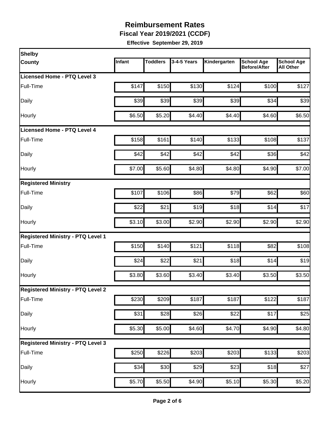**Fiscal Year 2019/2021 (CCDF)**

| Shelby                                   |        |                 |                  |                    |                                          |                                       |
|------------------------------------------|--------|-----------------|------------------|--------------------|------------------------------------------|---------------------------------------|
| County                                   | Infant | <b>Toddlers</b> | 3-4-5 Years      | Kindergarten       | <b>School Age</b><br><b>Before/After</b> | <b>School Age</b><br><b>All Other</b> |
| <b>Licensed Home - PTQ Level 3</b>       |        |                 |                  |                    |                                          |                                       |
| Full-Time                                | \$147  | \$150           | \$130            | \$124              | \$100                                    | \$127                                 |
| Daily                                    | \$39   | \$39            | \$39             | \$39               | \$34                                     | \$39                                  |
| Hourly                                   | \$6.50 | \$5.20          | \$4.40           | \$4.40             | \$4.60                                   | \$6.50                                |
| Licensed Home - PTQ Level 4              |        |                 |                  |                    |                                          |                                       |
| Full-Time                                | \$158  | \$161           | \$140            | \$133              | \$108                                    | \$137                                 |
| Daily                                    | \$42   | \$42            | \$42             | \$42               | \$36                                     | \$42                                  |
| Hourly                                   | \$7.00 | \$5.60          | \$4.80           | \$4.80             | \$4.90                                   | \$7.00                                |
| <b>Registered Ministry</b>               |        |                 |                  |                    |                                          |                                       |
| Full-Time                                | \$107  | \$106           | \$86             | \$79               | \$62                                     | \$60                                  |
| Daily                                    | \$22   | \$21            | \$19             | \$18               | \$14                                     | \$17                                  |
| Hourly                                   | \$3.10 | \$3.00          | \$2.90           | \$2.90             | \$2.90                                   | \$2.90                                |
| <b>Registered Ministry - PTQ Level 1</b> |        |                 |                  |                    |                                          |                                       |
| Full-Time                                | \$150  | \$140           | \$121            | \$118              | \$82                                     | \$108                                 |
| Daily                                    | \$24   | \$22            | \$21             | \$18               | \$14                                     | \$19                                  |
| Hourly                                   | \$3.80 | \$3.60          | \$3.40           | \$3.40             | \$3.50                                   | \$3.50                                |
| <b>Registered Ministry - PTQ Level 2</b> |        |                 |                  |                    |                                          |                                       |
| Full-Time                                | \$230  | \$209           | \$187            | \$187              | \$122                                    | \$187                                 |
| Daily                                    | \$31   | \$28            | $\overline{$}26$ | \$22               | \$17                                     | \$25                                  |
| Hourly                                   | \$5.30 | \$5.00          | \$4.60           | \$4.70             | \$4.90                                   | \$4.80                                |
| <b>Registered Ministry - PTQ Level 3</b> |        |                 |                  |                    |                                          |                                       |
| Full-Time                                | \$250  | \$226           | \$203            | \$203              | \$133                                    | \$203                                 |
| Daily                                    | \$34   | \$30            | \$29             | \$23               | \$18                                     | \$27                                  |
| Hourly                                   | \$5.70 | \$5.50          | \$4.90           | $\overline{$}5.10$ | \$5.30                                   | \$5.20                                |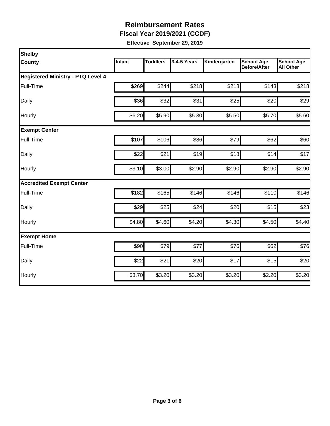**Fiscal Year 2019/2021 (CCDF)**

| Shelby                                   |        |                 |             |              |                                          |                                       |
|------------------------------------------|--------|-----------------|-------------|--------------|------------------------------------------|---------------------------------------|
| County                                   | Infant | <b>Toddlers</b> | 3-4-5 Years | Kindergarten | <b>School Age</b><br><b>Before/After</b> | <b>School Age</b><br><b>All Other</b> |
| <b>Registered Ministry - PTQ Level 4</b> |        |                 |             |              |                                          |                                       |
| Full-Time                                | \$269  | \$244           | \$218       | \$218        | \$143                                    | \$218                                 |
| Daily                                    | \$36   | \$32            | \$31        | \$25         | \$20                                     | \$29                                  |
| Hourly                                   | \$6.20 | \$5.90          | \$5.30      | \$5.50       | \$5.70                                   | \$5.60                                |
| <b>Exempt Center</b>                     |        |                 |             |              |                                          |                                       |
| Full-Time                                | \$107  | \$106           | \$86        | \$79         | \$62                                     | \$60                                  |
| Daily                                    | \$22   | \$21            | \$19        | \$18         | \$14                                     | \$17                                  |
| Hourly                                   | \$3.10 | \$3.00          | \$2.90      | \$2.90       | \$2.90                                   | \$2.90                                |
| <b>Accredited Exempt Center</b>          |        |                 |             |              |                                          |                                       |
| Full-Time                                | \$182  | \$165           | \$146       | \$146        | \$110                                    | \$146                                 |
| Daily                                    | \$29   | \$25            | \$24        | \$20         | \$15                                     | \$23                                  |
| Hourly                                   | \$4.80 | \$4.60          | \$4.20      | \$4.30       | \$4.50                                   | \$4.40                                |
| <b>Exempt Home</b>                       |        |                 |             |              |                                          |                                       |
| Full-Time                                | \$90   | \$79            | \$77        | \$76         | \$62                                     | \$76                                  |
| Daily                                    | \$22   | \$21            | \$20        | \$17         | \$15                                     | \$20                                  |
| Hourly                                   | \$3.70 | \$3.20          | \$3.20      | \$3.20       | \$2.20                                   | \$3.20                                |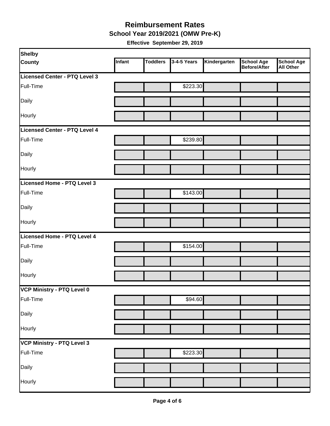#### **School Year 2019/2021 (OMW Pre-K) Reimbursement Rates**

| Shelby                            |        |                 |             |              |                                          |                                       |
|-----------------------------------|--------|-----------------|-------------|--------------|------------------------------------------|---------------------------------------|
| <b>County</b>                     | Infant | <b>Toddlers</b> | 3-4-5 Years | Kindergarten | <b>School Age</b><br><b>Before/After</b> | <b>School Age</b><br><b>All Other</b> |
| Licensed Center - PTQ Level 3     |        |                 |             |              |                                          |                                       |
| Full-Time                         |        |                 | \$223.30    |              |                                          |                                       |
| Daily                             |        |                 |             |              |                                          |                                       |
| Hourly                            |        |                 |             |              |                                          |                                       |
| Licensed Center - PTQ Level 4     |        |                 |             |              |                                          |                                       |
| Full-Time                         |        |                 | \$239.80    |              |                                          |                                       |
| Daily                             |        |                 |             |              |                                          |                                       |
| Hourly                            |        |                 |             |              |                                          |                                       |
| Licensed Home - PTQ Level 3       |        |                 |             |              |                                          |                                       |
| Full-Time                         |        |                 | \$143.00    |              |                                          |                                       |
| Daily                             |        |                 |             |              |                                          |                                       |
| Hourly                            |        |                 |             |              |                                          |                                       |
| Licensed Home - PTQ Level 4       |        |                 |             |              |                                          |                                       |
| Full-Time                         |        |                 | \$154.00    |              |                                          |                                       |
| Daily                             |        |                 |             |              |                                          |                                       |
| Hourly                            |        |                 |             |              |                                          |                                       |
| VCP Ministry - PTQ Level 0        |        |                 |             |              |                                          |                                       |
| Full-Time                         |        |                 | \$94.60     |              |                                          |                                       |
| Daily                             |        |                 |             |              |                                          |                                       |
| Hourly                            |        |                 |             |              |                                          |                                       |
| <b>VCP Ministry - PTQ Level 3</b> |        |                 |             |              |                                          |                                       |
| Full-Time                         |        |                 | \$223.30    |              |                                          |                                       |
| Daily                             |        |                 |             |              |                                          |                                       |
| Hourly                            |        |                 |             |              |                                          |                                       |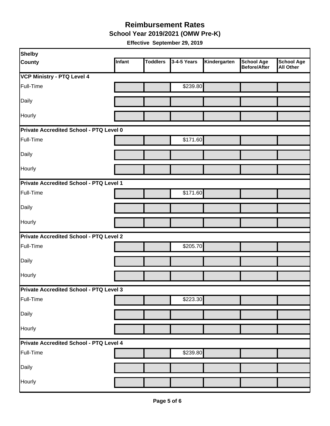**School Year 2019/2021 (OMW Pre-K)**

| Shelby                                  |        |                 |             |              |                                          |                                       |  |
|-----------------------------------------|--------|-----------------|-------------|--------------|------------------------------------------|---------------------------------------|--|
| <b>County</b>                           | Infant | <b>Toddlers</b> | 3-4-5 Years | Kindergarten | <b>School Age</b><br><b>Before/After</b> | <b>School Age</b><br><b>All Other</b> |  |
| <b>VCP Ministry - PTQ Level 4</b>       |        |                 |             |              |                                          |                                       |  |
| Full-Time                               |        |                 | \$239.80    |              |                                          |                                       |  |
| Daily                                   |        |                 |             |              |                                          |                                       |  |
| Hourly                                  |        |                 |             |              |                                          |                                       |  |
| Private Accredited School - PTQ Level 0 |        |                 |             |              |                                          |                                       |  |
| Full-Time                               |        |                 | \$171.60    |              |                                          |                                       |  |
| Daily                                   |        |                 |             |              |                                          |                                       |  |
| Hourly                                  |        |                 |             |              |                                          |                                       |  |
| Private Accredited School - PTQ Level 1 |        |                 |             |              |                                          |                                       |  |
| Full-Time                               |        |                 | \$171.60    |              |                                          |                                       |  |
| Daily                                   |        |                 |             |              |                                          |                                       |  |
| Hourly                                  |        |                 |             |              |                                          |                                       |  |
| Private Accredited School - PTQ Level 2 |        |                 |             |              |                                          |                                       |  |
| Full-Time                               |        |                 | \$205.70    |              |                                          |                                       |  |
| Daily                                   |        |                 |             |              |                                          |                                       |  |
| Hourly                                  |        |                 |             |              |                                          |                                       |  |
| Private Accredited School - PTQ Level 3 |        |                 |             |              |                                          |                                       |  |
| Full-Time                               |        |                 | \$223.30    |              |                                          |                                       |  |
| Daily                                   |        |                 |             |              |                                          |                                       |  |
| Hourly                                  |        |                 |             |              |                                          |                                       |  |
| Private Accredited School - PTQ Level 4 |        |                 |             |              |                                          |                                       |  |
| Full-Time                               |        |                 | \$239.80    |              |                                          |                                       |  |
| Daily                                   |        |                 |             |              |                                          |                                       |  |
| Hourly                                  |        |                 |             |              |                                          |                                       |  |